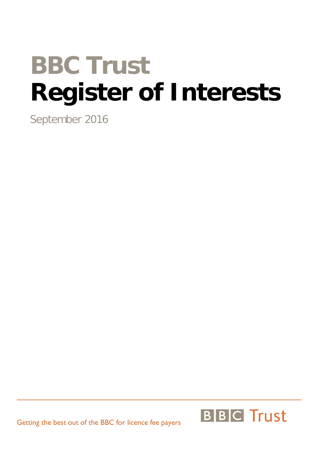# **BBC Trust Register of Interests**

September 2016

Getting the best out of the BBC for licence fee payers

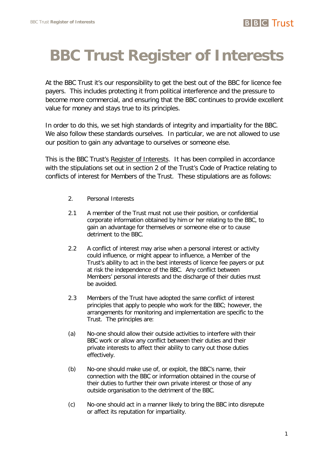## **BBC Trust Register of Interests**

At the BBC Trust it's our responsibility to get the best out of the BBC for licence fee payers. This includes protecting it from political interference and the pressure to become more commercial, and ensuring that the BBC continues to provide excellent value for money and stays true to its principles.

In order to do this, we set high standards of integrity and impartiality for the BBC. We also follow these standards ourselves. In particular, we are not allowed to use our position to gain any advantage to ourselves or someone else.

This is the BBC Trust's Register of Interests. It has been compiled in accordance with the stipulations set out in section 2 of the Trust's Code of Practice relating to conflicts of interest for Members of the Trust. These stipulations are as follows:

- 2. Personal Interests
- 2.1 A member of the Trust must not use their position, or confidential corporate information obtained by him or her relating to the BBC, to gain an advantage for themselves or someone else or to cause detriment to the BBC.
- 2.2 A conflict of interest may arise when a personal interest or activity could influence, or might appear to influence, a Member of the Trust's ability to act in the best interests of licence fee payers or put at risk the independence of the BBC. Any conflict between Members' personal interests and the discharge of their duties must be avoided.
- 2.3 Members of the Trust have adopted the same conflict of interest principles that apply to people who work for the BBC; however, the arrangements for monitoring and implementation are specific to the Trust. The principles are:
- (a) No-one should allow their outside activities to interfere with their BBC work or allow any conflict between their duties and their private interests to affect their ability to carry out those duties effectively.
- (b) No-one should make use of, or exploit, the BBC's name, their connection with the BBC or information obtained in the course of their duties to further their own private interest or those of any outside organisation to the detriment of the BBC.
- (c) No-one should act in a manner likely to bring the BBC into disrepute or affect its reputation for impartiality.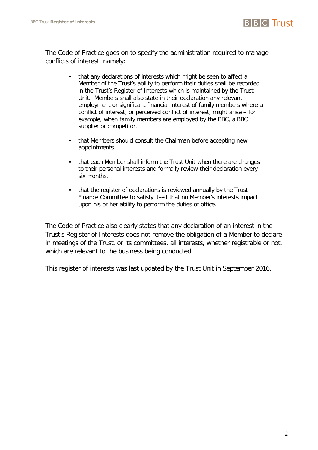The Code of Practice goes on to specify the administration required to manage conflicts of interest, namely:

- that any declarations of interests which might be seen to affect a Member of the Trust's ability to perform their duties shall be recorded in the Trust's Register of Interests which is maintained by the Trust Unit. Members shall also state in their declaration any relevant employment or significant financial interest of family members where a conflict of interest, or perceived conflict of interest, might arise – for example, when family members are employed by the BBC, a BBC supplier or competitor.
- **that Members should consult the Chairman before accepting new** appointments.
- that each Member shall inform the Trust Unit when there are changes to their personal interests and formally review their declaration every six months.
- that the register of declarations is reviewed annually by the Trust Finance Committee to satisfy itself that no Member's interests impact upon his or her ability to perform the duties of office.

The Code of Practice also clearly states that any declaration of an interest in the Trust's Register of Interests does not remove the obligation of a Member to declare in meetings of the Trust, or its committees, all interests, whether registrable or not, which are relevant to the business being conducted.

This register of interests was last updated by the Trust Unit in September 2016.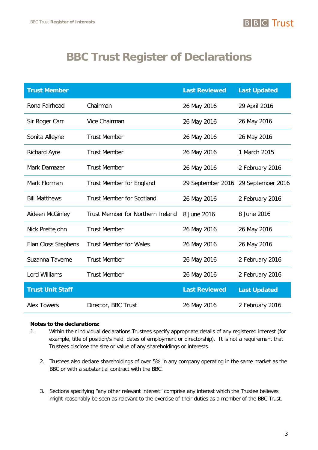## **BBC Trust Register of Declarations**

| <b>Trust Member</b>     |                                   | <b>Last Reviewed</b> | <b>Last Updated</b> |
|-------------------------|-----------------------------------|----------------------|---------------------|
| Rona Fairhead           | Chairman                          | 26 May 2016          | 29 April 2016       |
| Sir Roger Carr          | Vice Chairman                     | 26 May 2016          | 26 May 2016         |
| Sonita Alleyne          | <b>Trust Member</b>               | 26 May 2016          | 26 May 2016         |
| <b>Richard Ayre</b>     | <b>Trust Member</b>               | 26 May 2016          | 1 March 2015        |
| Mark Damazer            | <b>Trust Member</b>               | 26 May 2016          | 2 February 2016     |
| Mark Florman            | <b>Trust Member for England</b>   | 29 September 2016    | 29 September 2016   |
| <b>Bill Matthews</b>    | <b>Trust Member for Scotland</b>  | 26 May 2016          | 2 February 2016     |
| Aideen McGinley         | Trust Member for Northern Ireland | 8 June 2016          | 8 June 2016         |
| Nick Prettejohn         | <b>Trust Member</b>               | 26 May 2016          | 26 May 2016         |
| Elan Closs Stephens     | <b>Trust Member for Wales</b>     | 26 May 2016          | 26 May 2016         |
| Suzanna Taverne         | <b>Trust Member</b>               | 26 May 2016          | 2 February 2016     |
| Lord Williams           | <b>Trust Member</b>               | 26 May 2016          | 2 February 2016     |
| <b>Trust Unit Staff</b> |                                   | <b>Last Reviewed</b> | <b>Last Updated</b> |
| <b>Alex Towers</b>      | Director, BBC Trust               | 26 May 2016          | 2 February 2016     |

#### **Notes to the declarations:**

- 1. Within their individual declarations Trustees specify appropriate details of any registered interest (for example, title of position/s held, dates of employment or directorship). It is not a requirement that Trustees disclose the size or value of any shareholdings or interests.
	- 2. Trustees also declare shareholdings of over 5% in any company operating in the same market as the BBC or with a substantial contract with the BBC.
	- 3. Sections specifying "any other relevant interest" comprise any interest which the Trustee believes might reasonably be seen as relevant to the exercise of their duties as a member of the BBC Trust.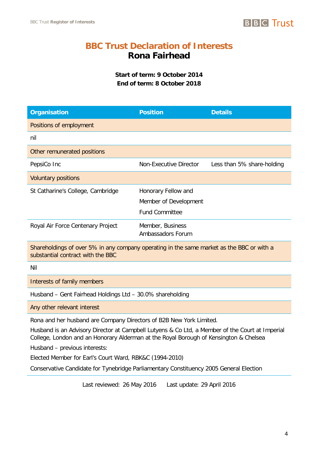

## **BBC Trust Declaration of Interests Rona Fairhead**

**Start of term: 9 October 2014 End of term: 8 October 2018**

| <b>Organisation</b>                                                                                                                                                                                                                                                                              | <b>Position</b>                              | <b>Details</b>             |  |  |
|--------------------------------------------------------------------------------------------------------------------------------------------------------------------------------------------------------------------------------------------------------------------------------------------------|----------------------------------------------|----------------------------|--|--|
| Positions of employment                                                                                                                                                                                                                                                                          |                                              |                            |  |  |
| nil                                                                                                                                                                                                                                                                                              |                                              |                            |  |  |
| Other remunerated positions                                                                                                                                                                                                                                                                      |                                              |                            |  |  |
| PepsiCo Inc                                                                                                                                                                                                                                                                                      | <b>Non-Executive Director</b>                | Less than 5% share-holding |  |  |
| <b>Voluntary positions</b>                                                                                                                                                                                                                                                                       |                                              |                            |  |  |
| St Catharine's College, Cambridge                                                                                                                                                                                                                                                                | Honorary Fellow and<br>Member of Development |                            |  |  |
|                                                                                                                                                                                                                                                                                                  | <b>Fund Committee</b>                        |                            |  |  |
| Royal Air Force Centenary Project                                                                                                                                                                                                                                                                | Member, Business<br>Ambassadors Forum        |                            |  |  |
| Shareholdings of over 5% in any company operating in the same market as the BBC or with a<br>substantial contract with the BBC                                                                                                                                                                   |                                              |                            |  |  |
| Nil                                                                                                                                                                                                                                                                                              |                                              |                            |  |  |
| Interests of family members                                                                                                                                                                                                                                                                      |                                              |                            |  |  |
| Husband - Gent Fairhead Holdings Ltd - 30.0% shareholding                                                                                                                                                                                                                                        |                                              |                            |  |  |
| Any other relevant interest                                                                                                                                                                                                                                                                      |                                              |                            |  |  |
| Rona and her husband are Company Directors of B2B New York Limited.<br>Husband is an Advisory Director at Campbell Lutyens & Co Ltd, a Member of the Court at Imperial<br>College, London and an Honorary Alderman at the Royal Borough of Kensington & Chelsea<br>Husband - previous interests: |                                              |                            |  |  |

Elected Member for Earl's Court Ward, RBK&C (1994-2010)

Conservative Candidate for Tynebridge Parliamentary Constituency 2005 General Election

Last reviewed: 26 May 2016 Last update: 29 April 2016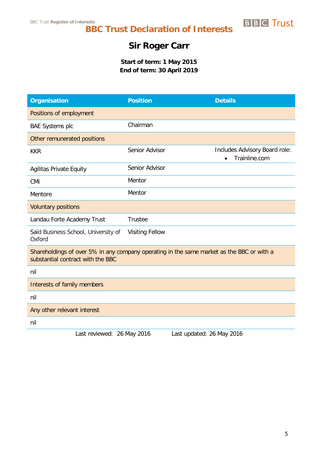## **Sir Roger Carr**

**Start of term: 1 May 2015 End of term: 30 April 2019**

| <b>Organisation</b>                                                                                                            | <b>Position</b>           | <b>Details</b>                                              |  |
|--------------------------------------------------------------------------------------------------------------------------------|---------------------------|-------------------------------------------------------------|--|
| Positions of employment                                                                                                        |                           |                                                             |  |
| <b>BAE Systems plc</b>                                                                                                         | Chairman                  |                                                             |  |
| Other remunerated positions                                                                                                    |                           |                                                             |  |
| <b>KKR</b>                                                                                                                     | Senior Advisor            | Includes Advisory Board role:<br>Trainline.com<br>$\bullet$ |  |
| <b>Agilitas Private Equity</b>                                                                                                 | Senior Advisor            |                                                             |  |
| CMi                                                                                                                            | Mentor                    |                                                             |  |
| Mentore                                                                                                                        | Mentor                    |                                                             |  |
| <b>Voluntary positions</b>                                                                                                     |                           |                                                             |  |
| Landau Forte Academy Trust                                                                                                     | Trustee                   |                                                             |  |
| Saïd Business School, University of<br>Oxford                                                                                  | <b>Visiting Fellow</b>    |                                                             |  |
| Shareholdings of over 5% in any company operating in the same market as the BBC or with a<br>substantial contract with the BBC |                           |                                                             |  |
| nil                                                                                                                            |                           |                                                             |  |
| Interests of family members                                                                                                    |                           |                                                             |  |
| nil                                                                                                                            |                           |                                                             |  |
| Any other relevant interest                                                                                                    |                           |                                                             |  |
| nil                                                                                                                            |                           |                                                             |  |
| Last reviewed: 26 May 2016                                                                                                     | Last updated: 26 May 2016 |                                                             |  |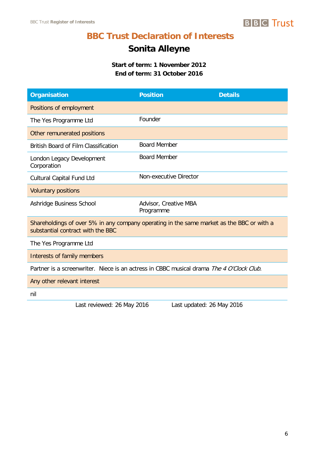## **Sonita Alleyne**

**Start of term: 1 November 2012 End of term: 31 October 2016**

| <b>Organisation</b>                                                                                                            | <b>Position</b>                    | <b>Details</b> |  |  |
|--------------------------------------------------------------------------------------------------------------------------------|------------------------------------|----------------|--|--|
| Positions of employment                                                                                                        |                                    |                |  |  |
| The Yes Programme Ltd                                                                                                          | Founder                            |                |  |  |
| Other remunerated positions                                                                                                    |                                    |                |  |  |
| <b>British Board of Film Classification</b>                                                                                    | <b>Board Member</b>                |                |  |  |
| London Legacy Development<br>Corporation                                                                                       | <b>Board Member</b>                |                |  |  |
| Cultural Capital Fund Ltd                                                                                                      | Non-executive Director             |                |  |  |
| <b>Voluntary positions</b>                                                                                                     |                                    |                |  |  |
| Ashridge Business School                                                                                                       | Advisor, Creative MBA<br>Programme |                |  |  |
| Shareholdings of over 5% in any company operating in the same market as the BBC or with a<br>substantial contract with the BBC |                                    |                |  |  |
| The Yes Programme Ltd                                                                                                          |                                    |                |  |  |
| Interests of family members                                                                                                    |                                    |                |  |  |
| Partner is a screenwriter. Niece is an actress in CBBC musical drama The 4 O'Clock Club.                                       |                                    |                |  |  |
| Any other relevant interest                                                                                                    |                                    |                |  |  |
| nil                                                                                                                            |                                    |                |  |  |
| Lost roughland, $26$ Mou $2016$                                                                                                | Lost undeted. $26$ Mey 2014        |                |  |  |

Last reviewed: 26 May 2016 Last updated: 26 May 2016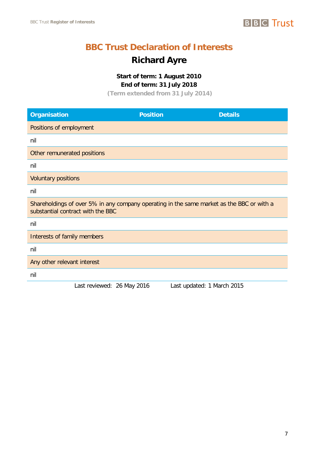

## **Richard Ayre**

**Start of term: 1 August 2010 End of term: 31 July 2018**

**(Term extended from 31 July 2014)**

| <b>Organisation</b>                                                                                                            | <b>Position</b> | <b>Details</b>             |
|--------------------------------------------------------------------------------------------------------------------------------|-----------------|----------------------------|
| Positions of employment                                                                                                        |                 |                            |
| nil                                                                                                                            |                 |                            |
| Other remunerated positions                                                                                                    |                 |                            |
| nil                                                                                                                            |                 |                            |
| <b>Voluntary positions</b>                                                                                                     |                 |                            |
| nil                                                                                                                            |                 |                            |
| Shareholdings of over 5% in any company operating in the same market as the BBC or with a<br>substantial contract with the BBC |                 |                            |
| nil                                                                                                                            |                 |                            |
| Interests of family members                                                                                                    |                 |                            |
| nil                                                                                                                            |                 |                            |
| Any other relevant interest                                                                                                    |                 |                            |
| nil                                                                                                                            |                 |                            |
| Last reviewed: 26 May 2016                                                                                                     |                 | Last updated: 1 March 2015 |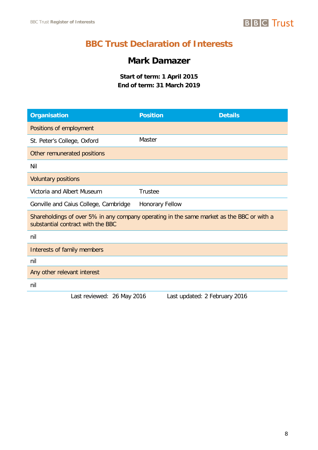## **BBC Trust Declaration of Interests**

## **Mark Damazer**

**Start of term: 1 April 2015 End of term: 31 March 2019**

| <b>Organisation</b>                                                                                                            | <b>Position</b>        |                               | <b>Details</b> |
|--------------------------------------------------------------------------------------------------------------------------------|------------------------|-------------------------------|----------------|
| Positions of employment                                                                                                        |                        |                               |                |
| St. Peter's College, Oxford                                                                                                    | Master                 |                               |                |
| Other remunerated positions                                                                                                    |                        |                               |                |
| Nil                                                                                                                            |                        |                               |                |
| <b>Voluntary positions</b>                                                                                                     |                        |                               |                |
| Victoria and Albert Museum                                                                                                     | <b>Trustee</b>         |                               |                |
| Gonville and Caius College, Cambridge                                                                                          | <b>Honorary Fellow</b> |                               |                |
| Shareholdings of over 5% in any company operating in the same market as the BBC or with a<br>substantial contract with the BBC |                        |                               |                |
| nil                                                                                                                            |                        |                               |                |
| Interests of family members                                                                                                    |                        |                               |                |
| nil                                                                                                                            |                        |                               |                |
| Any other relevant interest                                                                                                    |                        |                               |                |
| nil                                                                                                                            |                        |                               |                |
| Last reviewed: 26 May 2016                                                                                                     |                        | Last updated: 2 February 2016 |                |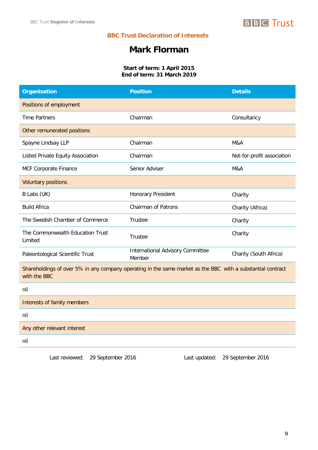## **Mark Florman**

#### **Start of term: 1 April 2015 End of term: 31 March 2019**

| <b>Organisation</b>                                                                                                         | <b>Position</b>                            | <b>Details</b>             |
|-----------------------------------------------------------------------------------------------------------------------------|--------------------------------------------|----------------------------|
| Positions of employment                                                                                                     |                                            |                            |
| <b>Time Partners</b>                                                                                                        | Chairman                                   | Consultancy                |
| Other remunerated positions                                                                                                 |                                            |                            |
| Spayne Lindsay LLP                                                                                                          | Chairman                                   | M&A                        |
| Listed Private Equity Association                                                                                           | Chairman                                   | Not-for-profit association |
| MCF Corporate Finance                                                                                                       | Senior Adviser                             | M&A                        |
| <b>Voluntary positions</b>                                                                                                  |                                            |                            |
| B Labs (UK)                                                                                                                 | Honorary President                         | Charity                    |
| <b>Build Africa</b>                                                                                                         | <b>Chairman of Patrons</b>                 | Charity (Africa)           |
| The Swedish Chamber of Commerce                                                                                             | <b>Trustee</b>                             | Charity                    |
| The Commonwealth Education Trust<br>Limited                                                                                 | Trustee                                    | Charity                    |
| Paleontological Scientific Trust                                                                                            | International Advisory Committee<br>Member | Charity (South Africa)     |
| Shareholdings of over 5% in any company operating in the same market as the BBC with a substantial contract<br>with the BBC |                                            |                            |
| nil                                                                                                                         |                                            |                            |
| Interests of family members                                                                                                 |                                            |                            |
| nil                                                                                                                         |                                            |                            |
| Any other relevant interest                                                                                                 |                                            |                            |
| nil                                                                                                                         |                                            |                            |

Last reviewed: 29 September 2016 Last updated: 29 September 2016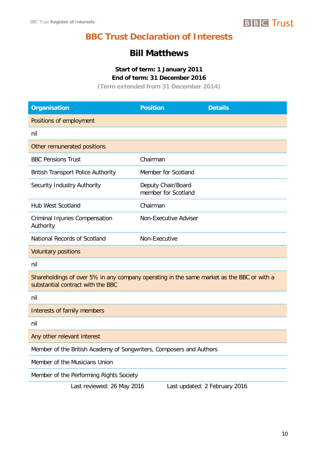

## **Bill Matthews**

#### **Start of term: 1 January 2011 End of term: 31 December 2016**

**(Term extended from 31 December 2014)**

| <b>Organisation</b>                                                                                                            | <b>Position</b>                           | <b>Details</b>                |  |
|--------------------------------------------------------------------------------------------------------------------------------|-------------------------------------------|-------------------------------|--|
| Positions of employment                                                                                                        |                                           |                               |  |
| nil                                                                                                                            |                                           |                               |  |
| Other remunerated positions                                                                                                    |                                           |                               |  |
| <b>BBC Pensions Trust</b>                                                                                                      | Chairman                                  |                               |  |
| <b>British Transport Police Authority</b>                                                                                      | Member for Scotland                       |                               |  |
| Security Industry Authority                                                                                                    | Deputy Chair/Board<br>member for Scotland |                               |  |
| <b>Hub West Scotland</b>                                                                                                       | Chairman                                  |                               |  |
| <b>Criminal Injuries Compensation</b><br>Authority                                                                             | Non-Executive Adviser                     |                               |  |
| National Records of Scotland                                                                                                   | Non-Executive                             |                               |  |
| <b>Voluntary positions</b>                                                                                                     |                                           |                               |  |
| nil                                                                                                                            |                                           |                               |  |
| Shareholdings of over 5% in any company operating in the same market as the BBC or with a<br>substantial contract with the BBC |                                           |                               |  |
| nil                                                                                                                            |                                           |                               |  |
| Interests of family members                                                                                                    |                                           |                               |  |
| nil                                                                                                                            |                                           |                               |  |
| Any other relevant interest                                                                                                    |                                           |                               |  |
| Member of the British Academy of Songwriters, Composers and Authors                                                            |                                           |                               |  |
| Member of the Musicians Union                                                                                                  |                                           |                               |  |
| Member of the Performing Rights Society                                                                                        |                                           |                               |  |
| Last reviewed: 26 May 2016                                                                                                     |                                           | Last updated: 2 February 2016 |  |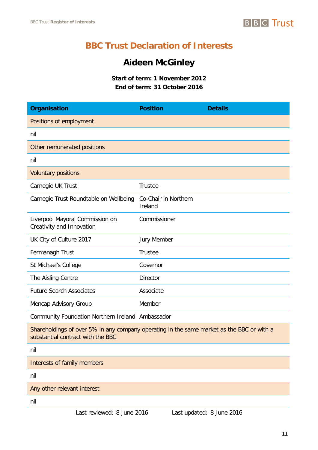

## **Aideen McGinley**

**Start of term: 1 November 2012 End of term: 31 October 2016** 

| <b>Organisation</b>                                                                                                            | <b>Position</b>                 | <b>Details</b> |
|--------------------------------------------------------------------------------------------------------------------------------|---------------------------------|----------------|
| Positions of employment                                                                                                        |                                 |                |
| nil                                                                                                                            |                                 |                |
| Other remunerated positions                                                                                                    |                                 |                |
| nil                                                                                                                            |                                 |                |
| <b>Voluntary positions</b>                                                                                                     |                                 |                |
| Carnegie UK Trust                                                                                                              | Trustee                         |                |
| Carnegie Trust Roundtable on Wellbeing                                                                                         | Co-Chair in Northern<br>Ireland |                |
| Liverpool Mayoral Commission on<br>Creativity and Innovation                                                                   | Commissioner                    |                |
| UK City of Culture 2017                                                                                                        | <b>Jury Member</b>              |                |
| Fermanagh Trust                                                                                                                | <b>Trustee</b>                  |                |
| St Michael's College                                                                                                           | Governor                        |                |
| The Aisling Centre                                                                                                             | <b>Director</b>                 |                |
| <b>Future Search Associates</b>                                                                                                | Associate                       |                |
| Mencap Advisory Group                                                                                                          | Member                          |                |
| Community Foundation Northern Ireland Ambassador                                                                               |                                 |                |
| Shareholdings of over 5% in any company operating in the same market as the BBC or with a<br>substantial contract with the BBC |                                 |                |
| nil                                                                                                                            |                                 |                |
| Interests of family members                                                                                                    |                                 |                |
| nil                                                                                                                            |                                 |                |
| Any other relevant interest                                                                                                    |                                 |                |
| nil                                                                                                                            |                                 |                |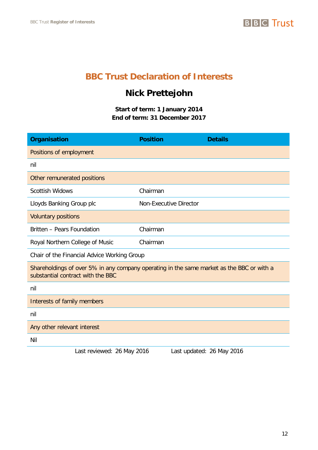## **Nick Prettejohn**

**Start of term: 1 January 2014 End of term: 31 December 2017**

| <b>Organisation</b>                                                                                                            | <b>Position</b> | <b>Details</b>                |  |
|--------------------------------------------------------------------------------------------------------------------------------|-----------------|-------------------------------|--|
| Positions of employment                                                                                                        |                 |                               |  |
| nil                                                                                                                            |                 |                               |  |
| Other remunerated positions                                                                                                    |                 |                               |  |
| <b>Scottish Widows</b>                                                                                                         | Chairman        |                               |  |
| Lloyds Banking Group plc                                                                                                       |                 | <b>Non-Executive Director</b> |  |
| <b>Voluntary positions</b>                                                                                                     |                 |                               |  |
| Britten - Pears Foundation                                                                                                     | Chairman        |                               |  |
| Royal Northern College of Music                                                                                                | Chairman        |                               |  |
| Chair of the Financial Advice Working Group                                                                                    |                 |                               |  |
| Shareholdings of over 5% in any company operating in the same market as the BBC or with a<br>substantial contract with the BBC |                 |                               |  |
| nil                                                                                                                            |                 |                               |  |
| Interests of family members                                                                                                    |                 |                               |  |
| nil                                                                                                                            |                 |                               |  |
| Any other relevant interest                                                                                                    |                 |                               |  |
| Nil                                                                                                                            |                 |                               |  |
| Last reviewed: 26 May 2016                                                                                                     |                 | Last updated: 26 May 2016     |  |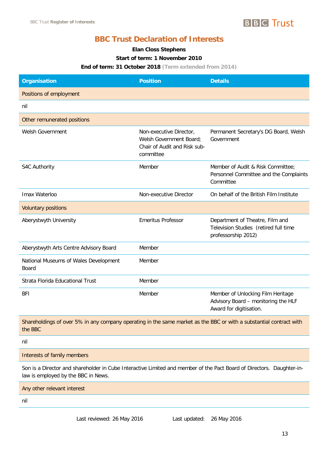

#### **Elan Closs Stephens**

#### **Start of term: 1 November 2010**

#### **End of term: 31 October 2018 (Term extended from 2014)**

| <b>Organisation</b>                            | <b>Position</b>                                                                                 | <b>Details</b>                                                                                      |
|------------------------------------------------|-------------------------------------------------------------------------------------------------|-----------------------------------------------------------------------------------------------------|
| Positions of employment                        |                                                                                                 |                                                                                                     |
| nil                                            |                                                                                                 |                                                                                                     |
| Other remunerated positions                    |                                                                                                 |                                                                                                     |
| Welsh Government                               | Non-executive Director,<br>Welsh Government Board;<br>Chair of Audit and Risk sub-<br>committee | Permanent Secretary's DG Board, Welsh<br>Government                                                 |
| S4C Authority                                  | Member                                                                                          | Member of Audit & Risk Committee:<br>Personnel Committee and the Complaints<br>Committee            |
| Imax Waterloo                                  | Non-executive Director                                                                          | On behalf of the British Film Institute                                                             |
| <b>Voluntary positions</b>                     |                                                                                                 |                                                                                                     |
| Aberystwyth University                         | <b>Emeritus Professor</b>                                                                       | Department of Theatre, Film and<br>Television Studies (retired full time<br>professorship 2012)     |
| Aberystwyth Arts Centre Advisory Board         | Member                                                                                          |                                                                                                     |
| National Museums of Wales Development<br>Board | Member                                                                                          |                                                                                                     |
| Strata Florida Educational Trust               | Member                                                                                          |                                                                                                     |
| <b>BFI</b>                                     | Member                                                                                          | Member of Unlocking Film Heritage<br>Advisory Board - monitoring the HLF<br>Award for digitisation. |

Shareholdings of over 5% in any company operating in the same market as the BBC or with a substantial contract with the BBC

nil

Interests of family members

Son is a Director and shareholder in Cube Interactive Limited and member of the Pact Board of Directors. Daughter-inlaw is employed by the BBC in News.

Any other relevant interest

nil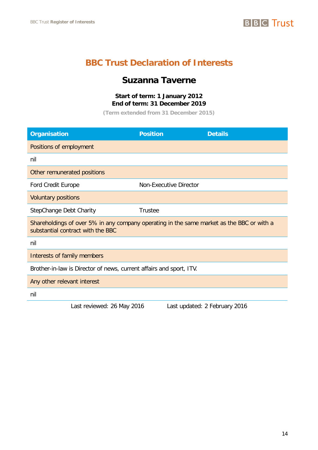## **BBC Trust Declaration of Interests**

## **Suzanna Taverne**

#### **Start of term: 1 January 2012 End of term: 31 December 2019**

**(Term extended from 31 December 2015)**

| <b>Organisation</b>                                                                                                            | <b>Position</b>               | <b>Details</b> |  |
|--------------------------------------------------------------------------------------------------------------------------------|-------------------------------|----------------|--|
| Positions of employment                                                                                                        |                               |                |  |
| nil                                                                                                                            |                               |                |  |
| Other remunerated positions                                                                                                    |                               |                |  |
| <b>Ford Credit Europe</b>                                                                                                      | <b>Non-Executive Director</b> |                |  |
| <b>Voluntary positions</b>                                                                                                     |                               |                |  |
| StepChange Debt Charity                                                                                                        | <b>Trustee</b>                |                |  |
| Shareholdings of over 5% in any company operating in the same market as the BBC or with a<br>substantial contract with the BBC |                               |                |  |
| nil                                                                                                                            |                               |                |  |
| Interests of family members                                                                                                    |                               |                |  |
| Brother-in-law is Director of news, current affairs and sport, ITV.                                                            |                               |                |  |
| Any other relevant interest                                                                                                    |                               |                |  |
| nil                                                                                                                            |                               |                |  |

Last reviewed: 26 May 2016 Last updated: 2 February 2016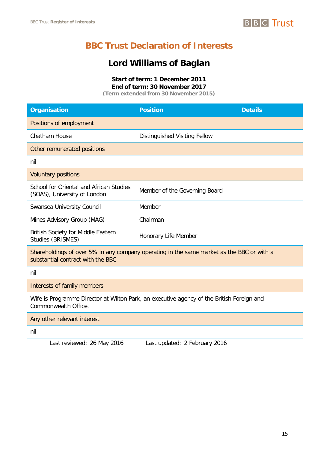

## **Lord Williams of Baglan**

**Start of term: 1 December 2011 End of term: 30 November 2017**

**(Term extended from 30 November 2015)**

| <b>Organisation</b>                                                                                                            | <b>Position</b>               | <b>Details</b> |  |
|--------------------------------------------------------------------------------------------------------------------------------|-------------------------------|----------------|--|
| Positions of employment                                                                                                        |                               |                |  |
| Chatham House                                                                                                                  | Distinguished Visiting Fellow |                |  |
| Other remunerated positions                                                                                                    |                               |                |  |
| nil                                                                                                                            |                               |                |  |
| <b>Voluntary positions</b>                                                                                                     |                               |                |  |
| School for Oriental and African Studies<br>(SOAS), University of London                                                        | Member of the Governing Board |                |  |
| Swansea University Council                                                                                                     | Member                        |                |  |
| Mines Advisory Group (MAG)                                                                                                     | Chairman                      |                |  |
| <b>British Society for Middle Eastern</b><br><b>Studies (BRISMES)</b>                                                          | Honorary Life Member          |                |  |
| Shareholdings of over 5% in any company operating in the same market as the BBC or with a<br>substantial contract with the BBC |                               |                |  |
| nil                                                                                                                            |                               |                |  |
| Interests of family members                                                                                                    |                               |                |  |
| Wife is Programme Director at Wilton Park, an executive agency of the British Foreign and<br>Commonwealth Office.              |                               |                |  |
| Any other relevant interest                                                                                                    |                               |                |  |
|                                                                                                                                |                               |                |  |

nil

Last reviewed: 26 May 2016 Last updated: 2 February 2016